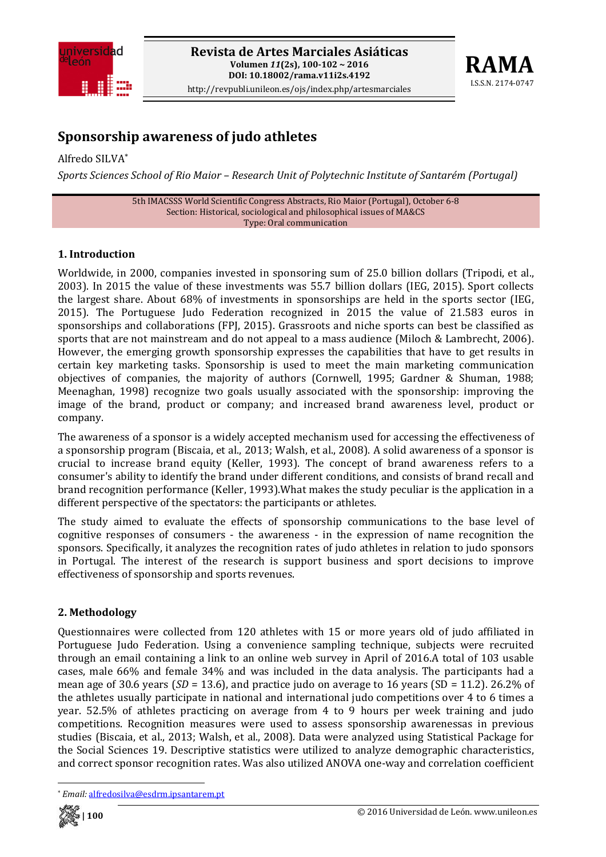



# **Sponsorship awareness of judo athletes**

Alfredo SILVA\* *Sports Sciences School of Rio Maior – Research Unit of Polytechnic Institute of Santarém (Portugal)*

> 5th IMACSSS World Scientific Congress Abstracts, Rio Maior (Portugal), October 6‐8 Section: Historical, sociological and philosophical issues of MA&CS Type: Oral communication

#### **1. Introduction**

Worldwide, in 2000, companies invested in sponsoring sum of 25.0 billion dollars (Tripodi, et al., 2003). In 2015 the value of these investments was 55.7 billion dollars (IEG, 2015). Sport collects the largest share. About 68% of investments in sponsorships are held in the sports sector (IEG, 2015). The Portuguese Judo Federation recognized in 2015 the value of 21.583 euros in sponsorships and collaborations (FPJ, 2015). Grassroots and niche sports can best be classified as sports that are not mainstream and do not appeal to a mass audience (Miloch & Lambrecht, 2006). However, the emerging growth sponsorship expresses the capabilities that have to get results in certain key marketing tasks. Sponsorship is used to meet the main marketing communication objectives of companies, the majority of authors (Cornwell, 1995; Gardner & Shuman, 1988; Meenaghan, 1998) recognize two goals usually associated with the sponsorship: improving the image of the brand, product or company; and increased brand awareness level, product or company.

The awareness of a sponsor is a widely accepted mechanism used for accessing the effectiveness of a sponsorship program (Biscaia, et al., 2013; Walsh, et al., 2008). A solid awareness of a sponsor is crucial to increase brand equity (Keller, 1993). The concept of brand awareness refers to a consumer's ability to identify the brand under different conditions, and consists of brand recall and brand recognition performance (Keller, 1993).What makes the study peculiar is the application in a different perspective of the spectators: the participants or athletes.

The study aimed to evaluate the effects of sponsorship communications to the base level of cognitive responses of consumers - the awareness - in the expression of name recognition the sponsors. Specifically, it analyzes the recognition rates of judo athletes in relation to judo sponsors in Portugal. The interest of the research is support business and sport decisions to improve effectiveness of sponsorship and sports revenues.

#### **2. Methodology**

Questionnaires were collected from 120 athletes with 15 or more years old of judo affiliated in Portuguese Judo Federation. Using a convenience sampling technique, subjects were recruited through an email containing a link to an online web survey in April of 2016.A total of 103 usable cases, male 66% and female 34% and was included in the data analysis. The participants had a mean age of 30.6 years (*SD* = 13.6), and practice judo on average to 16 years (SD = 11.2). 26.2% of the athletes usually participate in national and international judo competitions over 4 to 6 times a year. 52.5% of athletes practicing on average from 4 to 9 hours per week training and judo competitions. Recognition measures were used to assess sponsorship awarenessas in previous studies (Biscaia, et al., 2013; Walsh, et al., 2008). Data were analyzed using Statistical Package for the Social Sciences 19. Descriptive statistics were utilized to analyze demographic characteristics, and correct sponsor recognition rates. Was also utilized ANOVA one‐way and correlation coefficient

<sup>\*</sup> *Email:* alfredosilva@esdrm.ipsantarem.pt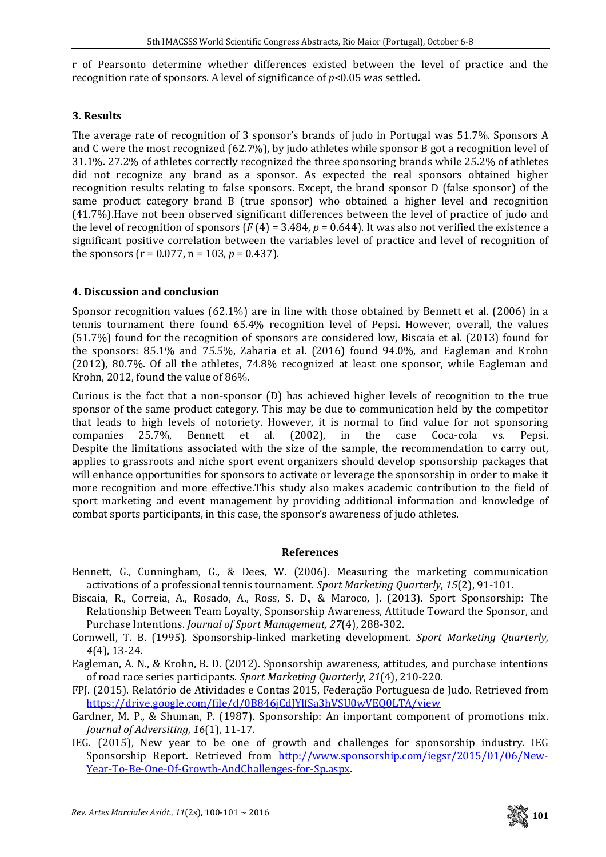r of Pearsonto determine whether differences existed between the level of practice and the recognition rate of sponsors. A level of significance of *p*<0.05 was settled.

## **3. Results**

The average rate of recognition of 3 sponsor's brands of judo in Portugal was 51.7%. Sponsors A and C were the most recognized (62.7%), by judo athletes while sponsor B got a recognition level of 31.1%. 27.2% of athletes correctly recognized the three sponsoring brands while 25.2% of athletes did not recognize any brand as a sponsor. As expected the real sponsors obtained higher recognition results relating to false sponsors. Except, the brand sponsor D (false sponsor) of the same product category brand B (true sponsor) who obtained a higher level and recognition (41.7%).Have not been observed significant differences between the level of practice of judo and the level of recognition of sponsors ( $F(4) = 3.484$ ,  $p = 0.644$ ). It was also not verified the existence a significant positive correlation between the variables level of practice and level of recognition of the sponsors ( $r = 0.077$ ,  $n = 103$ ,  $p = 0.437$ ).

## **4. Discussion and conclusion**

Sponsor recognition values  $(62.1\%)$  are in line with those obtained by Bennett et al.  $(2006)$  in a tennis tournament there found 65.4% recognition level of Pepsi. However, overall, the values (51.7%) found for the recognition of sponsors are considered low, Biscaia et al. (2013) found for the sponsors: 85.1% and 75.5%, Zaharia et al. (2016) found 94.0%, and Eagleman and Krohn (2012), 80.7%. Of all the athletes, 74.8% recognized at least one sponsor, while Eagleman and Krohn, 2012, found the value of 86%.

Curious is the fact that a non‐sponsor (D) has achieved higher levels of recognition to the true sponsor of the same product category. This may be due to communication held by the competitor that leads to high levels of notoriety. However, it is normal to find value for not sponsoring companies 25.7%, Bennett et al. (2002), in the case Coca‐cola vs. Pepsi. Despite the limitations associated with the size of the sample, the recommendation to carry out, applies to grassroots and niche sport event organizers should develop sponsorship packages that will enhance opportunities for sponsors to activate or leverage the sponsorship in order to make it more recognition and more effective.This study also makes academic contribution to the field of sport marketing and event management by providing additional information and knowledge of combat sports participants, in this case, the sponsor's awareness of judo athletes.

## **References**

- Bennett, G., Cunningham, G., & Dees, W. (2006). Measuring the marketing communication activations of a professional tennis tournament. *Sport Marketing Quarterly*, *15*(2), 91‐101.
- Biscaia, R., Correia, A., Rosado, A., Ross, S. D., & Maroco, J. (2013). Sport Sponsorship: The Relationship Between Team Loyalty, Sponsorship Awareness, Attitude Toward the Sponsor, and Purchase Intentions. *Journal of Sport Management, 27*(4), 288‐302.
- Cornwell, T. B. (1995). Sponsorship‐linked marketing development. *Sport Marketing Quarterly, 4*(4), 13‐24.
- Eagleman, A. N., & Krohn, B. D. (2012). Sponsorship awareness, attitudes, and purchase intentions of road race series participants. *Sport Marketing Quarterly*, *21*(4), 210‐220.
- FPJ. (2015). Relatório de Atividades e Contas 2015, Federação Portuguesa de Judo. Retrieved from https://drive.google.com/file/d/0B846jCdJYlfSa3hVSU0wVEQ0LTA/view
- Gardner, M. P., & Shuman, P. (1987). Sponsorship: An important component of promotions mix. *Journal of Adversiting, 16*(1), 11‐17.
- IEG. (2015), New year to be one of growth and challenges for sponsorship industry. IEG Sponsorship Report. Retrieved from http://www.sponsorship.com/iegsr/2015/01/06/New-Year‐To‐Be‐One‐Of‐Growth‐AndChallenges‐for‐Sp.aspx.